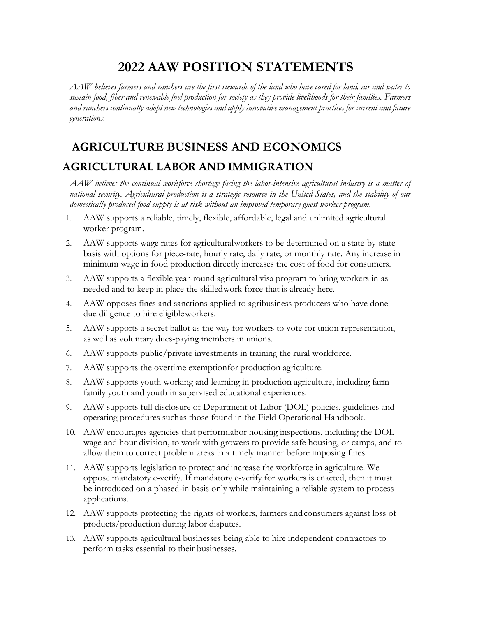# **2022 AAW POSITION STATEMENTS**

*AAW believes farmers and ranchers are the first stewards of the land who have cared for land, air and water to sustain food, fiber and renewable fuel production for society as they provide livelihoods for their families. Farmers and ranchers continually adopt new technologies and apply innovative management practices for current and future generations.*

# **AGRICULTURE BUSINESS AND ECONOMICS**

# **AGRICULTURAL LABOR AND IMMIGRATION**

*AAW believes the continual workforce shortage facing the labor-intensive agricultural industry is a matter of national security. Agricultural production is a strategic resource in the United States, and the stability of our domestically produced food supply is at risk without an improved temporary guest worker program.*

- 1. AAW supports a reliable, timely, flexible, affordable, legal and unlimited agricultural worker program.
- 2. AAW supports wage rates for agricultural workers to be determined on a state-by-state basis with options for piece-rate, hourly rate, daily rate, or monthly rate. Any increase in minimum wage in food production directly increases the cost of food for consumers.
- 3. AAW supports a flexible year-round agricultural visa program to bring workers in as needed and to keep in place the skilled work force that is already here.
- 4. AAW opposes fines and sanctions applied to agribusiness producers who have done due diligence to hire eligible workers.
- 5. AAW supports a secret ballot as the way for workers to vote for union representation, as well as voluntary dues-paying members in unions.
- 6. AAW supports public/private investments in training the rural workforce.
- 7. AAW supports the overtime exemptionfor production agriculture.
- 8. AAW supports youth working and learning in production agriculture, including farm family youth and youth in supervised educational experiences.
- 9. AAW supports full disclosure of Department of Labor (DOL) policies, guidelines and operating procedures suchas those found in the Field Operational Handbook.
- 10. AAW encourages agencies that perform labor housing inspections, including the DOL wage and hour division, to work with growers to provide safe housing, or camps, and to allow them to correct problem areas in a timely manner before imposing fines.
- 11. AAW supports legislation to protect and increase the workforce in agriculture. We oppose mandatory e-verify. If mandatory e-verify for workers is enacted, then it must be introduced on a phased-in basis only while maintaining a reliable system to process applications.
- 12. AAW supports protecting the rights of workers, farmers and consumers against loss of products/production during labor disputes.
- 13. AAW supports agricultural businesses being able to hire independent contractors to perform tasks essential to their businesses.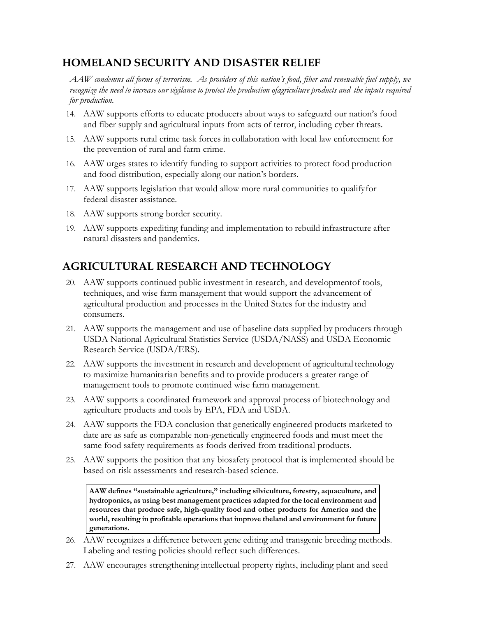# **HOMELAND SECURITY AND DISASTER RELIEF**

*AAW condemns all forms of terrorism. As providers of this nation's food, fiber and renewable fuel supply, we recognize the need to increase our vigilance to protect the production ofagriculture products and the inputs required for production.*

- 14. AAW supports efforts to educate producers about ways to safeguard our nation's food and fiber supply and agricultural inputs from acts of terror, including cyber threats.
- 15. AAW supports rural crime task forces in collaboration with local law enforcement for the prevention of rural and farm crime.
- 16. AAW urges states to identify funding to support activities to protect food production and food distribution, especially along our nation's borders.
- 17. AAW supports legislation that would allow more rural communities to qualify for federal disaster assistance.
- 18. AAW supports strong border security.
- 19. AAW supports expediting funding and implementation to rebuild infrastructure after natural disasters and pandemics.

# **AGRICULTURAL RESEARCH AND TECHNOLOGY**

- 20. AAW supports continued public investment in research, and developmentof tools, techniques, and wise farm management that would support the advancement of agricultural production and processes in the United States for the industry and consumers.
- 21. AAW supports the management and use of baseline data supplied by producers through USDA National Agricultural Statistics Service (USDA/NASS) and USDA Economic Research Service (USDA/ERS).
- 22. AAW supports the investment in research and development of agricultural technology to maximize humanitarian benefits and to provide producers a greater range of management tools to promote continued wise farm management.
- 23. AAW supports a coordinated framework and approval process of biotechnology and agriculture products and tools by EPA, FDA and USDA.
- 24. AAW supports the FDA conclusion that genetically engineered products marketed to date are as safe as comparable non-genetically engineered foods and must meet the same food safety requirements as foods derived from traditional products.
- 25. AAW supports the position that any biosafety protocol that is implemented should be based on risk assessments and research-based science.

**AAW defines "sustainable agriculture," including silviculture, forestry, aquaculture, and hydroponics, as using best management practices adapted for the local environment and resources that produce safe, high-quality food and other products for America and the world, resulting in profitable operations that improve theland and environment for future generations.**

- 26. AAW recognizes a difference between gene editing and transgenic breeding methods. Labeling and testing policies should reflect such differences.
- 27. AAW encourages strengthening intellectual property rights, including plant and seed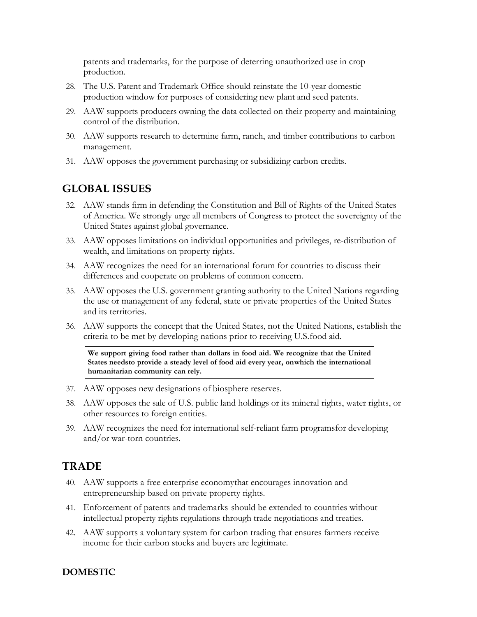patents and trademarks, for the purpose of deterring unauthorized use in crop production.

- 28. The U.S. Patent and Trademark Office should reinstate the 10-year domestic production window for purposes of considering new plant and seed patents.
- 29. AAW supports producers owning the data collected on their property and maintaining control of the distribution.
- 30. AAW supports research to determine farm, ranch, and timber contributions to carbon management.
- 31. AAW opposes the government purchasing or subsidizing carbon credits.

# **GLOBAL ISSUES**

- 32. AAW stands firm in defending the Constitution and Bill of Rights of the United States of America. We strongly urge all members of Congress to protect the sovereignty of the United States against global governance.
- 33. AAW opposes limitations on individual opportunities and privileges, re-distribution of wealth, and limitations on property rights.
- 34. AAW recognizes the need for an international forum for countries to discuss their differences and cooperate on problems of common concern.
- 35. AAW opposes the U.S. government granting authority to the United Nations regarding the use or management of any federal, state or private properties of the United States and its territories.
- 36. AAW supports the concept that the United States, not the United Nations, establish the criteria to be met by developing nations prior to receiving U.S.food aid.

**We support giving food rather than dollars in food aid. We recognize that the United States needsto provide a steady level of food aid every year, onwhich the international humanitarian community can rely.**

- 37. AAW opposes new designations of biosphere reserves.
- 38. AAW opposes the sale of U.S. public land holdings or its mineral rights, water rights, or other resources to foreign entities.
- 39. AAW recognizes the need for international self-reliant farm programsfor developing and/or war-torn countries.

# **TRADE**

- 40. AAW supports a free enterprise economythat encourages innovation and entrepreneurship based on private property rights.
- 41. Enforcement of patents and trademarks should be extended to countries without intellectual property rights regulations through trade negotiations and treaties.
- 42. AAW supports a voluntary system for carbon trading that ensures farmers receive income for their carbon stocks and buyers are legitimate.

## **DOMESTIC**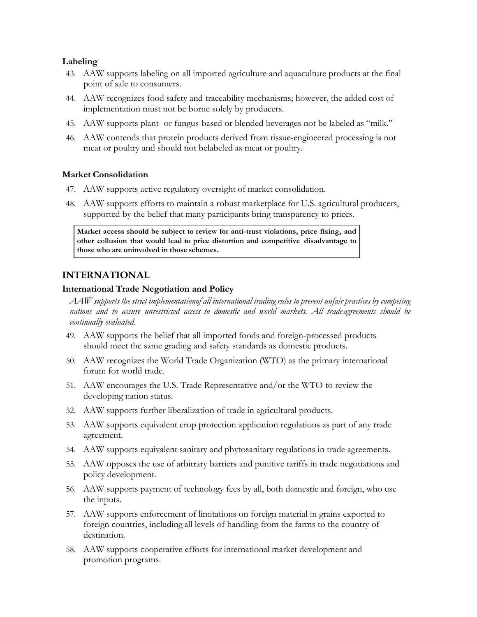#### **Labeling**

- 43. AAW supports labeling on all imported agriculture and aquaculture products at the final point of sale to consumers.
- 44. AAW recognizes food safety and traceability mechanisms; however, the added cost of implementation must not be borne solely by producers.
- 45. AAW supports plant- or fungus-based or blended beverages not be labeled as "milk."
- 46. AAW contends that protein products derived from tissue-engineered processing is not meat or poultry and should not belabeled as meat or poultry.

#### **Market Consolidation**

- 47. AAW supports active regulatory oversight of market consolidation.
- 48. AAW supports efforts to maintain a robust marketplace for U.S. agricultural producers, supported by the belief that many participants bring transparency to prices.

**Market access should be subject to review for anti-trust violations, price fixing, and other collusion that would lead to price distortion and competitive disadvantage to those who are uninvolved in those schemes.**

## **INTERNATIONAL**

#### **International Trade Negotiation and Policy**

*AAW supports the strict implementationof all international trading rules to prevent unfair practices by competing nations and to assure unrestricted access to domestic and world markets. All trade agreements should be continually evaluated.*

- 49. AAW supports the belief that all imported foods and foreign-processed products should meet the same grading and safety standards as domestic products.
- 50. AAW recognizes the World Trade Organization (WTO) as the primary international forum for world trade.
- 51. AAW encourages the U.S. Trade Representative and/or the WTO to review the developing nation status.
- 52. AAW supports further liberalization of trade in agricultural products.
- 53. AAW supports equivalent crop protection application regulations as part of any trade agreement.
- 54. AAW supports equivalent sanitary and phytosanitary regulations in trade agreements.
- 55. AAW opposes the use of arbitrary barriers and punitive tariffs in trade negotiations and policy development.
- 56. AAW supports payment of technology fees by all, both domestic and foreign, who use the inputs.
- 57. AAW supports enforcement of limitations on foreign material in grains exported to foreign countries, including all levels of handling from the farms to the country of destination.
- 58. AAW supports cooperative efforts for international market development and promotion programs.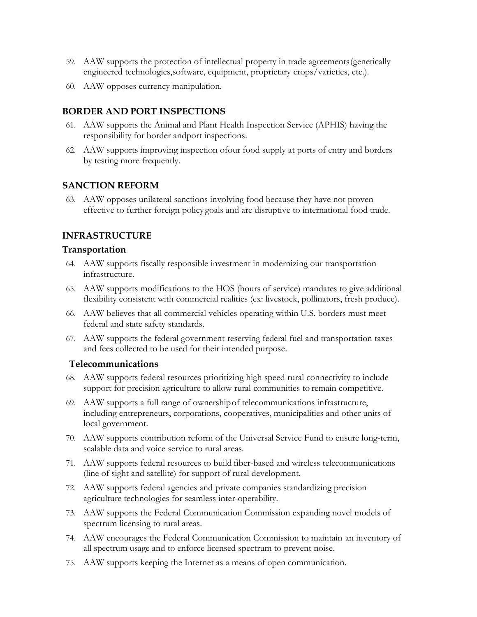- 59. AAW supports the protection of intellectual property in trade agreements (genetically engineered technologies,software, equipment, proprietary crops/varieties, etc.).
- 60. AAW opposes currency manipulation.

# **BORDER AND PORT INSPECTIONS**

- 61. AAW supports the Animal and Plant Health Inspection Service (APHIS) having the responsibility for border andport inspections.
- 62. AAW supports improving inspection ofour food supply at ports of entry and borders by testing more frequently.

## **SANCTION REFORM**

63. AAW opposes unilateral sanctions involving food because they have not proven effective to further foreign policy goals and are disruptive to international food trade.

# **INFRASTRUCTURE**

### **Transportation**

- 64. AAW supports fiscally responsible investment in modernizing our transportation infrastructure.
- 65. AAW supports modifications to the HOS (hours of service) mandates to give additional flexibility consistent with commercial realities (ex: livestock, pollinators, fresh produce).
- 66. AAW believes that all commercial vehicles operating within U.S. borders must meet federal and state safety standards.
- 67. AAW supports the federal government reserving federal fuel and transportation taxes and fees collected to be used for their intended purpose.

## **Telecommunications**

- 68. AAW supports federal resources prioritizing high speed rural connectivity to include support for precision agriculture to allow rural communities to remain competitive.
- 69. AAW supports a full range of ownership of telecommunications infrastructure, including entrepreneurs, corporations, cooperatives, municipalities and other units of local government.
- 70. AAW supports contribution reform of the Universal Service Fund to ensure long-term, scalable data and voice service to rural areas.
- 71. AAW supports federal resources to build fiber-based and wireless telecommunications (line of sight and satellite) for support of rural development.
- 72. AAW supports federal agencies and private companies standardizing precision agriculture technologies for seamless inter-operability.
- 73. AAW supports the Federal Communication Commission expanding novel models of spectrum licensing to rural areas.
- 74. AAW encourages the Federal Communication Commission to maintain an inventory of all spectrum usage and to enforce licensed spectrum to prevent noise.
- 75. AAW supports keeping the Internet as a means of open communication.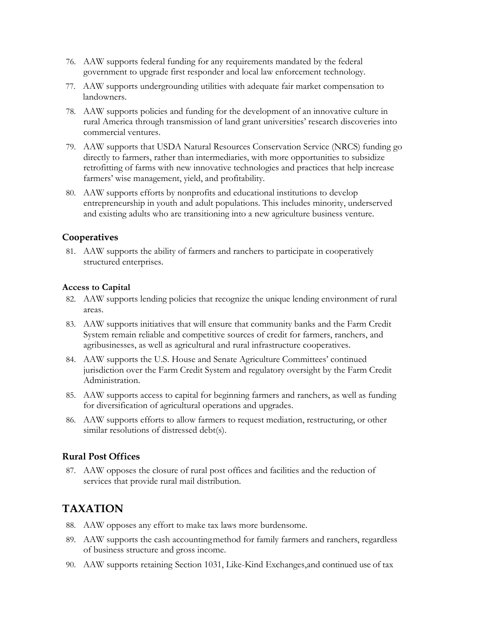- 76. AAW supports federal funding for any requirements mandated by the federal government to upgrade first responder and local law enforcement technology.
- 77. AAW supports undergrounding utilities with adequate fair market compensation to landowners.
- 78. AAW supports policies and funding for the development of an innovative culture in rural America through transmission of land grant universities' research discoveries into commercial ventures.
- 79. AAW supports that USDA Natural Resources Conservation Service (NRCS) funding go directly to farmers, rather than intermediaries, with more opportunities to subsidize retrofitting of farms with new innovative technologies and practices that help increase farmers' wise management, yield, and profitability.
- 80. AAW supports efforts by nonprofits and educational institutions to develop entrepreneurship in youth and adult populations. This includes minority, underserved and existing adults who are transitioning into a new agriculture business venture.

## **Cooperatives**

81. AAW supports the ability of farmers and ranchers to participate in cooperatively structured enterprises.

### **Access to Capital**

- 82. AAW supports lending policies that recognize the unique lending environment of rural areas.
- 83. AAW supports initiatives that will ensure that community banks and the Farm Credit System remain reliable and competitive sources of credit for farmers, ranchers, and agribusinesses, as well as agricultural and rural infrastructure cooperatives.
- 84. AAW supports the U.S. House and Senate Agriculture Committees' continued jurisdiction over the Farm Credit System and regulatory oversight by the Farm Credit Administration.
- 85. AAW supports access to capital for beginning farmers and ranchers, as well as funding for diversification of agricultural operations and upgrades.
- 86. AAW supports efforts to allow farmers to request mediation, restructuring, or other similar resolutions of distressed debt(s).

## **Rural Post Offices**

87. AAW opposes the closure of rural post offices and facilities and the reduction of services that provide rural mail distribution.

# **TAXATION**

- 88. AAW opposes any effort to make tax laws more burdensome.
- 89. AAW supports the cash accounting method for family farmers and ranchers, regardless of business structure and gross income.
- 90. AAW supports retaining Section 1031, Like-Kind Exchanges,and continued use of tax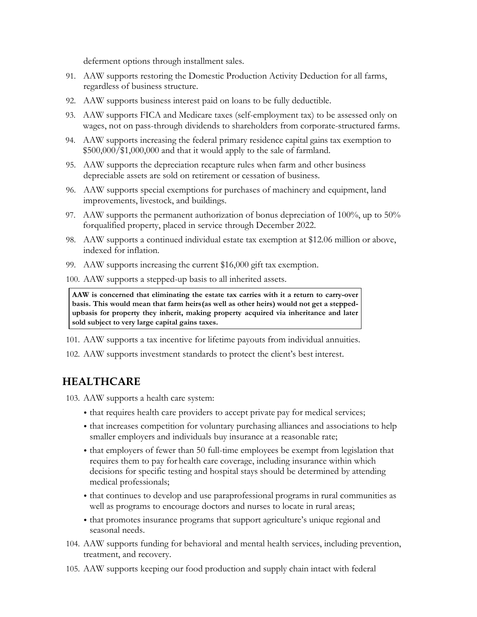deferment options through installment sales.

- 91. AAW supports restoring the Domestic Production Activity Deduction for all farms, regardless of business structure.
- 92. AAW supports business interest paid on loans to be fully deductible.
- 93. AAW supports FICA and Medicare taxes (self-employment tax) to be assessed only on wages, not on pass-through dividends to shareholders from corporate-structured farms.
- 94. AAW supports increasing the federal primary residence capital gains tax exemption to \$500,000/\$1,000,000 and that it would apply to the sale of farmland.
- 95. AAW supports the depreciation recapture rules when farm and other business depreciable assets are sold on retirement or cessation of business.
- 96. AAW supports special exemptions for purchases of machinery and equipment, land improvements, livestock, and buildings.
- 97. AAW supports the permanent authorization of bonus depreciation of 100%, up to 50% for qualified property, placed in service through December 2022.
- 98. AAW supports a continued individual estate tax exemption at \$12.06 million or above, indexed for inflation.
- 99. AAW supports increasing the current \$16,000 gift tax exemption.
- 100. AAW supports a stepped-up basis to all inherited assets.

**AAW is concerned that eliminating the estate tax carries with it a return to carry-over basis. This would mean that farm heirs(as well as other heirs) would not get a steppedupbasis for property they inherit, making property acquired via inheritance and later sold subject to very large capital gains taxes.**

- 101. AAW supports a tax incentive for lifetime payouts from individual annuities.
- 102. AAW supports investment standards to protect the client's best interest.

# **HEALTHCARE**

103. AAW supports a health care system:

- that requires health care providers to accept private pay for medical services;
- that increases competition for voluntary purchasing alliances and associations to help smaller employers and individuals buy insurance at a reasonable rate;
- that employers of fewer than 50 full-time employees be exempt from legislation that requires them to pay for health care coverage, including insurance within which decisions for specific testing and hospital stays should be determined by attending medical professionals;
- that continues to develop and use paraprofessional programs in rural communities as well as programs to encourage doctors and nurses to locate in rural areas;
- that promotes insurance programs that support agriculture's unique regional and seasonal needs.
- 104. AAW supports funding for behavioral and mental health services, including prevention, treatment, and recovery.
- 105. AAW supports keeping our food production and supply chain intact with federal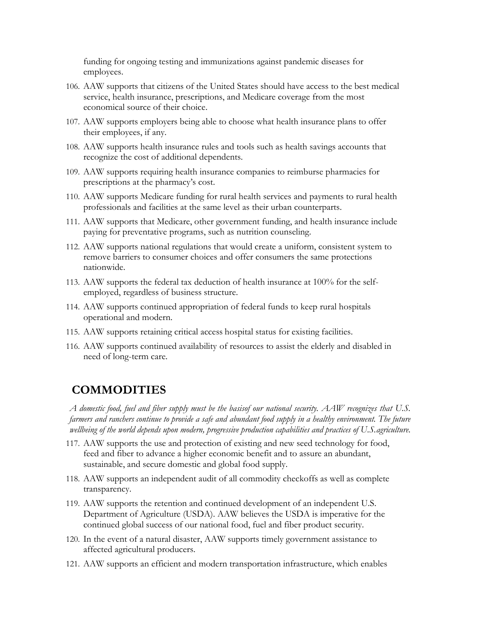funding for ongoing testing and immunizations against pandemic diseases for employees.

- 106. AAW supports that citizens of the United States should have access to the best medical service, health insurance, prescriptions, and Medicare coverage from the most economical source of their choice.
- 107. AAW supports employers being able to choose what health insurance plans to offer their employees, if any.
- 108. AAW supports health insurance rules and tools such as health savings accounts that recognize the cost of additional dependents.
- 109. AAW supports requiring health insurance companies to reimburse pharmacies for prescriptions at the pharmacy's cost.
- 110. AAW supports Medicare funding for rural health services and payments to rural health professionals and facilities at the same level as their urban counterparts.
- 111. AAW supports that Medicare, other government funding, and health insurance include paying for preventative programs, such as nutrition counseling.
- 112. AAW supports national regulations that would create a uniform, consistent system to remove barriers to consumer choices and offer consumers the same protections nationwide.
- 113. AAW supports the federal tax deduction of health insurance at 100% for the selfemployed, regardless of business structure.
- 114. AAW supports continued appropriation of federal funds to keep rural hospitals operational and modern.
- 115. AAW supports retaining critical access hospital status for existing facilities.
- 116. AAW supports continued availability of resources to assist the elderly and disabled in need of long-term care.

# **COMMODITIES**

*A domestic food, fuel and fiber supply must be the basisof our national security. AAW recognizes that U.S. farmers and ranchers continue to provide a safe and abundant food supply in a healthy environment. The future wellbeing of the world depends upon modern, progressive production capabilities and practices of U.S. agriculture.*

- 117. AAW supports the use and protection of existing and new seed technology for food, feed and fiber to advance a higher economic benefit and to assure an abundant, sustainable, and secure domestic and global food supply.
- 118. AAW supports an independent audit of all commodity checkoffs as well as complete transparency.
- 119. AAW supports the retention and continued development of an independent U.S. Department of Agriculture (USDA). AAW believes the USDA is imperative for the continued global success of our national food, fuel and fiber product security.
- 120. In the event of a natural disaster, AAW supports timely government assistance to affected agricultural producers.
- 121. AAW supports an efficient and modern transportation infrastructure, which enables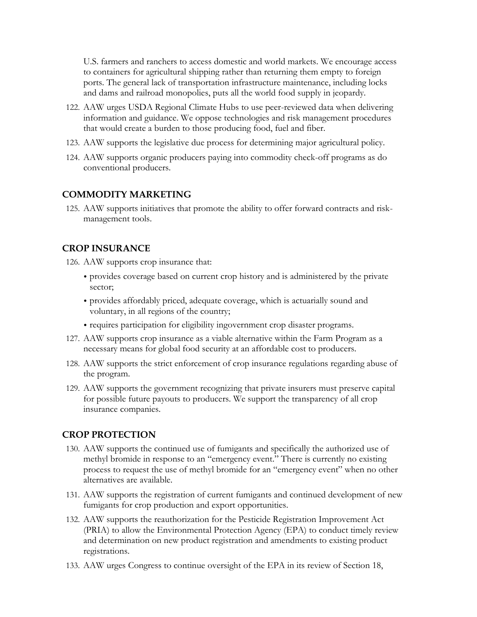U.S. farmers and ranchers to access domestic and world markets. We encourage access to containers for agricultural shipping rather than returning them empty to foreign ports. The general lack of transportation infrastructure maintenance, including locks and dams and railroad monopolies, puts all the world food supply in jeopardy.

- 122. AAW urges USDA Regional Climate Hubs to use peer-reviewed data when delivering information and guidance. We oppose technologies and risk management procedures that would create a burden to those producing food, fuel and fiber.
- 123. AAW supports the legislative due process for determining major agricultural policy.
- 124. AAW supports organic producers paying into commodity check-off programs as do conventional producers.

## **COMMODITY MARKETING**

125. AAW supports initiatives that promote the ability to offer forward contracts and riskmanagement tools.

# **CROP INSURANCE**

- 126. AAW supports crop insurance that:
	- provides coverage based on current crop history and is administered by the private sector;
	- provides affordably priced, adequate coverage, which is actuarially sound and voluntary, in all regions of the country;
	- requires participation for eligibility ingovernment crop disaster programs.
- 127. AAW supports crop insurance as a viable alternative within the Farm Program as a necessary means for global food security at an affordable cost to producers.
- 128. AAW supports the strict enforcement of crop insurance regulations regarding abuse of the program.
- 129. AAW supports the government recognizing that private insurers must preserve capital for possible future payouts to producers. We support the transparency of all crop insurance companies.

# **CROP PROTECTION**

- 130. AAW supports the continued use of fumigants and specifically the authorized use of methyl bromide in response to an "emergency event." There is currently no existing process to request the use of methyl bromide for an "emergency event" when no other alternatives are available.
- 131. AAW supports the registration of current fumigants and continued development of new fumigants for crop production and export opportunities.
- 132. AAW supports the reauthorization for the Pesticide Registration Improvement Act (PRIA) to allow the Environmental Protection Agency (EPA) to conduct timely review and determination on new product registration and amendments to existing product registrations.
- 133. AAW urges Congress to continue oversight of the EPA in its review of Section 18,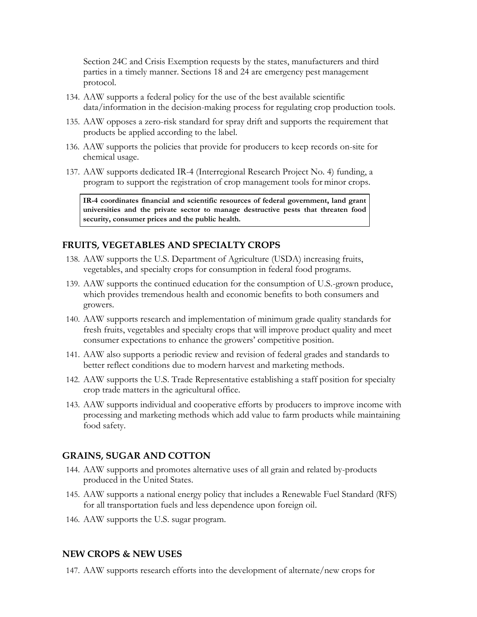Section 24C and Crisis Exemption requests by the states, manufacturers and third parties in a timely manner. Sections 18 and 24 are emergency pest management protocol.

- 134. AAW supports a federal policy for the use of the best available scientific data/information in the decision-making process for regulating crop production tools.
- 135. AAW opposes a zero-risk standard for spray drift and supports the requirement that products be applied according to the label.
- 136. AAW supports the policies that provide for producers to keep records on-site for chemical usage.
- 137. AAW supports dedicated IR-4 (Interregional Research Project No. 4) funding, a program to support the registration of crop management tools for minor crops.

**IR-4 coordinates financial and scientific resources of federal government, land grant universities and the private sector to manage destructive pests that threaten food security, consumer prices and the public health.**

## **FRUITS, VEGETABLES AND SPECIALTY CROPS**

- 138. AAW supports the U.S. Department of Agriculture (USDA) increasing fruits, vegetables, and specialty crops for consumption in federal food programs.
- 139. AAW supports the continued education for the consumption of U.S.-grown produce, which provides tremendous health and economic benefits to both consumers and growers.
- 140. AAW supports research and implementation of minimum grade quality standards for fresh fruits, vegetables and specialty crops that will improve product quality and meet consumer expectations to enhance the growers' competitive position.
- 141. AAW also supports a periodic review and revision of federal grades and standards to better reflect conditions due to modern harvest and marketing methods.
- 142. AAW supports the U.S. Trade Representative establishing a staff position for specialty crop trade matters in the agricultural office.
- 143. AAW supports individual and cooperative efforts by producers to improve income with processing and marketing methods which add value to farm products while maintaining food safety.

#### **GRAINS, SUGAR AND COTTON**

- 144. AAW supports and promotes alternative uses of all grain and related by-products produced in the United States.
- 145. AAW supports a national energy policy that includes a Renewable Fuel Standard (RFS) for all transportation fuels and less dependence upon foreign oil.
- 146. AAW supports the U.S. sugar program.

#### **NEW CROPS & NEW USES**

147. AAW supports research efforts into the development of alternate/new crops for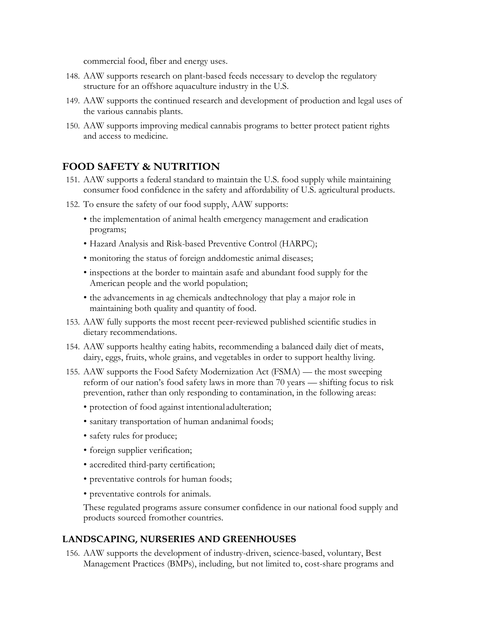commercial food, fiber and energy uses.

- 148. AAW supports research on plant-based feeds necessary to develop the regulatory structure for an offshore aquaculture industry in the U.S.
- 149. AAW supports the continued research and development of production and legal uses of the various cannabis plants.
- 150. AAW supports improving medical cannabis programs to better protect patient rights and access to medicine.

# **FOOD SAFETY & NUTRITION**

- 151. AAW supports a federal standard to maintain the U.S. food supply while maintaining consumer food confidence in the safety and affordability of U.S. agricultural products.
- 152. To ensure the safety of our food supply, AAW supports:
	- the implementation of animal health emergency management and eradication programs;
	- Hazard Analysis and Risk-based Preventive Control (HARPC);
	- monitoring the status of foreign anddomestic animal diseases;
	- inspections at the border to maintain asafe and abundant food supply for the American people and the world population;
	- the advancements in ag chemicals andtechnology that play a major role in maintaining both quality and quantity of food.
- 153. AAW fully supports the most recent peer-reviewed published scientific studies in dietary recommendations.
- 154. AAW supports healthy eating habits, recommending a balanced daily diet of meats, dairy, eggs, fruits, whole grains, and vegetables in order to support healthy living.
- 155. AAW supports the Food Safety Modernization Act (FSMA) the most sweeping reform of our nation's food safety laws in more than 70 years — shifting focus to risk prevention, rather than only responding to contamination, in the following areas:
	- protection of food against intentional adulteration;
	- sanitary transportation of human andanimal foods;
	- safety rules for produce;
	- foreign supplier verification;
	- accredited third-party certification;
	- preventative controls for human foods;
	- preventative controls for animals.

These regulated programs assure consumer confidence in our national food supply and products sourced fromother countries.

#### **LANDSCAPING, NURSERIES AND GREENHOUSES**

156. AAW supports the development of industry-driven, science-based, voluntary, Best Management Practices (BMPs), including, but not limited to, cost-share programs and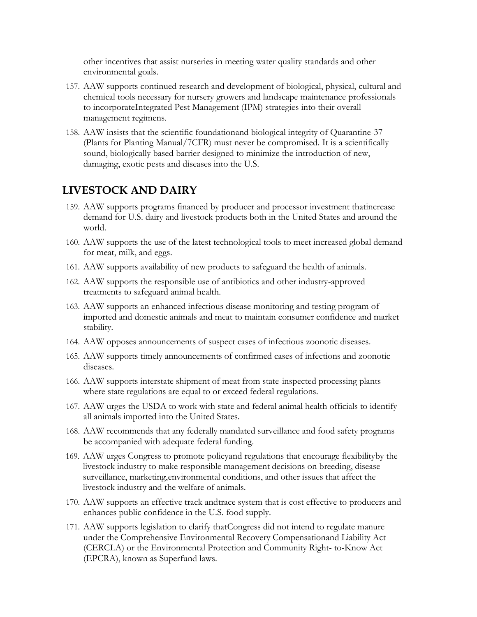other incentives that assist nurseries in meeting water quality standards and other environmental goals.

- 157. AAW supports continued research and development of biological, physical, cultural and chemical tools necessary for nursery growers and landscape maintenance professionals to incorporateIntegrated Pest Management (IPM) strategies into their overall management regimens.
- 158. AAW insists that the scientific foundationand biological integrity of Quarantine-37 (Plants for Planting Manual/7CFR) must never be compromised. It is a scientifically sound, biologically based barrier designed to minimize the introduction of new, damaging, exotic pests and diseases into the U.S.

# **LIVESTOCK AND DAIRY**

- 159. AAW supports programs financed by producer and processor investment thatincrease demand for U.S. dairy and livestock products both in the United States and around the world.
- 160. AAW supports the use of the latest technological tools to meet increased global demand for meat, milk, and eggs.
- 161. AAW supports availability of new products to safeguard the health of animals.
- 162. AAW supports the responsible use of antibiotics and other industry-approved treatments to safeguard animal health.
- 163. AAW supports an enhanced infectious disease monitoring and testing program of imported and domestic animals and meat to maintain consumer confidence and market stability.
- 164. AAW opposes announcements of suspect cases of infectious zoonotic diseases.
- 165. AAW supports timely announcements of confirmed cases of infections and zoonotic diseases.
- 166. AAW supports interstate shipment of meat from state-inspected processing plants where state regulations are equal to or exceed federal regulations.
- 167. AAW urges the USDA to work with state and federal animal health officials to identify all animals imported into the United States.
- 168. AAW recommends that any federally mandated surveillance and food safety programs be accompanied with adequate federal funding.
- 169. AAW urges Congress to promote policyand regulations that encourage flexibilityby the livestock industry to make responsible management decisions on breeding, disease surveillance, marketing,environmental conditions, and other issues that affect the livestock industry and the welfare of animals.
- 170. AAW supports an effective track andtrace system that is cost effective to producers and enhances public confidence in the U.S. food supply.
- 171. AAW supports legislation to clarify thatCongress did not intend to regulate manure under the Comprehensive Environmental Recovery Compensationand Liability Act (CERCLA) or the Environmental Protection and Community Right- to-Know Act (EPCRA), known as Superfund laws.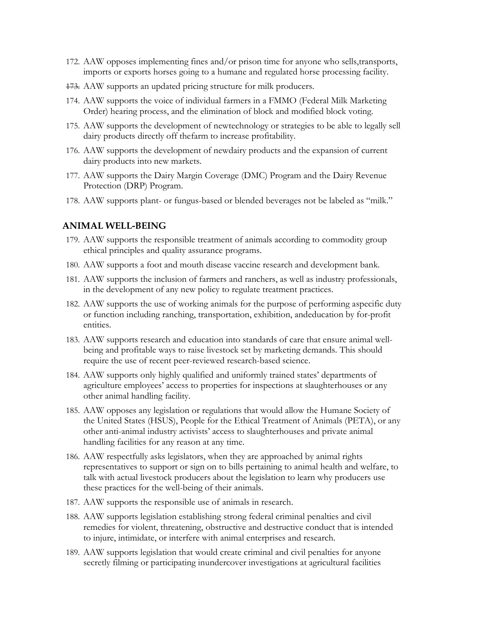- 172. AAW opposes implementing fines and/or prison time for anyone who sells,transports, imports or exports horses going to a humane and regulated horse processing facility.
- 173. AAW supports an updated pricing structure for milk producers.
- 174. AAW supports the voice of individual farmers in a FMMO (Federal Milk Marketing Order) hearing process, and the elimination of block and modified block voting.
- 175. AAW supports the development of newtechnology or strategies to be able to legally sell dairy products directly off thefarm to increase profitability.
- 176. AAW supports the development of newdairy products and the expansion of current dairy products into new markets.
- 177. AAW supports the Dairy Margin Coverage (DMC) Program and the Dairy Revenue Protection (DRP) Program.
- 178. AAW supports plant- or fungus-based or blended beverages not be labeled as "milk."

#### **ANIMAL WELL-BEING**

- 179. AAW supports the responsible treatment of animals according to commodity group ethical principles and quality assurance programs.
- 180. AAW supports a foot and mouth disease vaccine research and development bank.
- 181. AAW supports the inclusion of farmers and ranchers, as well as industry professionals, in the development of any new policy to regulate treatment practices.
- 182. AAW supports the use of working animals for the purpose of performing aspecific duty or function including ranching, transportation, exhibition, andeducation by for-profit entities.
- 183. AAW supports research and education into standards of care that ensure animal wellbeing and profitable ways to raise livestock set by marketing demands. This should require the use of recent peer-reviewed research-based science.
- 184. AAW supports only highly qualified and uniformly trained states' departments of agriculture employees' access to properties for inspections at slaughterhouses or any other animal handling facility.
- 185. AAW opposes any legislation or regulations that would allow the Humane Society of the United States (HSUS), People for the Ethical Treatment of Animals (PETA), or any other anti-animal industry activists' access to slaughterhouses and private animal handling facilities for any reason at any time.
- 186. AAW respectfully asks legislators, when they are approached by animal rights representatives to support or sign on to bills pertaining to animal health and welfare, to talk with actual livestock producers about the legislation to learn why producers use these practices for the well-being of their animals.
- 187. AAW supports the responsible use of animals in research.
- 188. AAW supports legislation establishing strong federal criminal penalties and civil remedies for violent, threatening, obstructive and destructive conduct that is intended to injure, intimidate, or interfere with animal enterprises and research.
- 189. AAW supports legislation that would create criminal and civil penalties for anyone secretly filming or participating inundercover investigations at agricultural facilities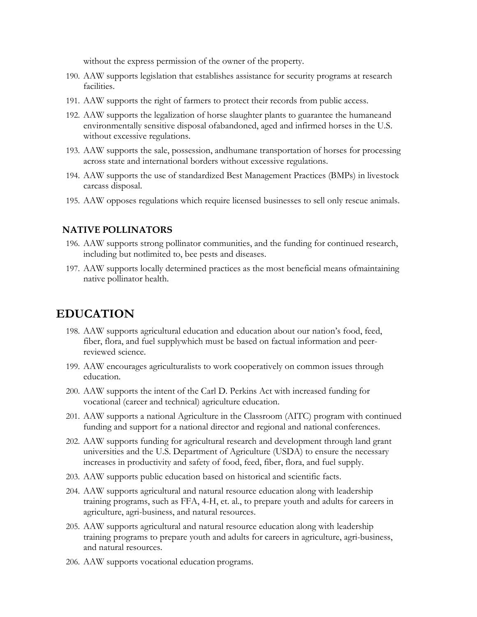without the express permission of the owner of the property.

- 190. AAW supports legislation that establishes assistance for security programs at research facilities.
- 191. AAW supports the right of farmers to protect their records from public access.
- 192. AAW supports the legalization of horse slaughter plants to guarantee the humaneand environmentally sensitive disposal ofabandoned, aged and infirmed horses in the U.S. without excessive regulations.
- 193. AAW supports the sale, possession, andhumane transportation of horses for processing across state and international borders without excessive regulations.
- 194. AAW supports the use of standardized Best Management Practices (BMPs) in livestock carcass disposal.
- 195. AAW opposes regulations which require licensed businesses to sell only rescue animals.

### **NATIVE POLLINATORS**

- 196. AAW supports strong pollinator communities, and the funding for continued research, including but notlimited to, bee pests and diseases.
- 197. AAW supports locally determined practices as the most beneficial means ofmaintaining native pollinator health.

# **EDUCATION**

- 198. AAW supports agricultural education and education about our nation's food, feed, fiber, flora, and fuel supplywhich must be based on factual information and peerreviewed science.
- 199. AAW encourages agriculturalists to work cooperatively on common issues through education.
- 200. AAW supports the intent of the Carl D. Perkins Act with increased funding for vocational (career and technical) agriculture education.
- 201. AAW supports a national Agriculture in the Classroom (AITC) program with continued funding and support for a national director and regional and national conferences.
- 202. AAW supports funding for agricultural research and development through land grant universities and the U.S. Department of Agriculture (USDA) to ensure the necessary increases in productivity and safety of food, feed, fiber, flora, and fuel supply.
- 203. AAW supports public education based on historical and scientific facts.
- 204. AAW supports agricultural and natural resource education along with leadership training programs, such as FFA, 4-H, et. al., to prepare youth and adults for careers in agriculture, agri-business, and natural resources.
- 205. AAW supports agricultural and natural resource education along with leadership training programs to prepare youth and adults for careers in agriculture, agri-business, and natural resources.
- 206. AAW supports vocational education programs.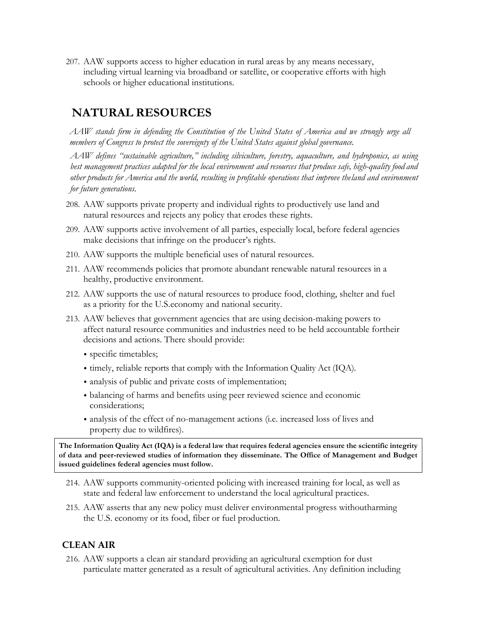207. AAW supports access to higher education in rural areas by any means necessary, including virtual learning via broadband or satellite, or cooperative efforts with high schools or higher educational institutions.

# **NATURAL RESOURCES**

*AAW stands firm in defending the Constitution of the United States of America and we strongly urge all members of Congress to protect the sovereignty of the United States against global governance.*

*AAW defines "sustainable agriculture," including silviculture, forestry, aquaculture, and hydroponics, as using best management practices adapted for the local environment and resources that produce safe, high-quality food and other products for America and the world, resulting in profitable operations that improve theland and environment for future generations.*

- 208. AAW supports private property and individual rights to productively use land and natural resources and rejects any policy that erodes these rights.
- 209. AAW supports active involvement of all parties, especially local, before federal agencies make decisions that infringe on the producer's rights.
- 210. AAW supports the multiple beneficial uses of natural resources.
- 211. AAW recommends policies that promote abundant renewable natural resources in a healthy, productive environment.
- 212. AAW supports the use of natural resources to produce food, clothing, shelter and fuel as a priority for the U.S.economy and national security.
- 213. AAW believes that government agencies that are using decision-making powers to affect natural resource communities and industries need to be held accountable fortheir decisions and actions. There should provide:
	- specific timetables;
	- timely, reliable reports that comply with the Information Quality Act (IQA).
	- analysis of public and private costs of implementation;
	- balancing of harms and benefits using peer reviewed science and economic considerations;
	- analysis of the effect of no-management actions (i.e. increased loss of lives and property due to wildfires).

**The Information Quality Act (IQA) is a federal law that requires federal agencies ensure the scientific integrity of data and peer-reviewed studies of information they disseminate. The Office of Management and Budget issued guidelines federal agencies must follow.**

- 214. AAW supports community-oriented policing with increased training for local, as well as state and federal law enforcement to understand the local agricultural practices.
- 215. AAW asserts that any new policy must deliver environmental progress withoutharming the U.S. economy or its food, fiber or fuel production.

# **CLEAN AIR**

216. AAW supports a clean air standard providing an agricultural exemption for dust particulate matter generated as a result of agricultural activities. Any definition including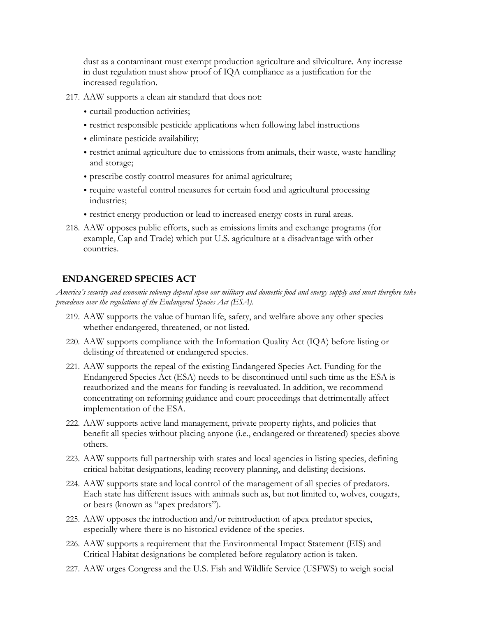dust as a contaminant must exempt production agriculture and silviculture. Any increase in dust regulation must show proof of IQA compliance as a justification for the increased regulation.

- 217. AAW supports a clean air standard that does not:
	- curtail production activities;
	- restrict responsible pesticide applications when following label instructions
	- eliminate pesticide availability;
	- restrict animal agriculture due to emissions from animals, their waste, waste handling and storage;
	- prescribe costly control measures for animal agriculture;
	- require wasteful control measures for certain food and agricultural processing industries;
	- restrict energy production or lead to increased energy costs in rural areas.
- 218. AAW opposes public efforts, such as emissions limits and exchange programs (for example, Cap and Trade) which put U.S. agriculture at a disadvantage with other countries.

#### **ENDANGERED SPECIES ACT**

*America's security and economic solvency depend upon our military and domestic food and energy supply and must therefore take precedence over the regulations of the Endangered Species Act (ESA).*

- 219. AAW supports the value of human life, safety, and welfare above any other species whether endangered, threatened, or not listed.
- 220. AAW supports compliance with the Information Quality Act (IQA) before listing or delisting of threatened or endangered species.
- 221. AAW supports the repeal of the existing Endangered Species Act. Funding for the Endangered Species Act (ESA) needs to be discontinued until such time as the ESA is reauthorized and the means for funding is reevaluated. In addition, we recommend concentrating on reforming guidance and court proceedings that detrimentally affect implementation of the ESA.
- 222. AAW supports active land management, private property rights, and policies that benefit all species without placing anyone (i.e., endangered or threatened) species above others.
- 223. AAW supports full partnership with states and local agencies in listing species, defining critical habitat designations, leading recovery planning, and delisting decisions.
- 224. AAW supports state and local control of the management of all species of predators. Each state has different issues with animals such as, but not limited to, wolves, cougars, or bears (known as "apex predators").
- 225. AAW opposes the introduction and/or reintroduction of apex predator species, especially where there is no historical evidence of the species.
- 226. AAW supports a requirement that the Environmental Impact Statement (EIS) and Critical Habitat designations be completed before regulatory action is taken.
- 227. AAW urges Congress and the U.S. Fish and Wildlife Service (USFWS) to weigh social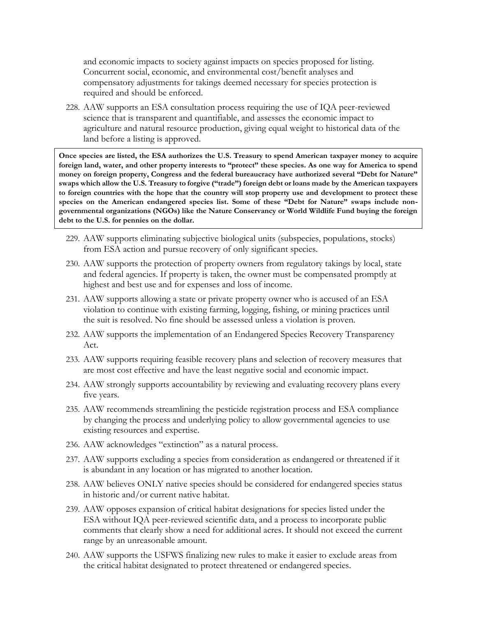and economic impacts to society against impacts on species proposed for listing. Concurrent social, economic, and environmental cost/benefit analyses and compensatory adjustments for takings deemed necessary for species protection is required and should be enforced.

228. AAW supports an ESA consultation process requiring the use of IQA peer-reviewed science that is transparent and quantifiable, and assesses the economic impact to agriculture and natural resource production, giving equal weight to historical data of the land before a listing is approved.

**Once species are listed, the ESA authorizes the U.S. Treasury to spend American taxpayer money to acquire foreign land, water, and other property interests to "protect" these species. As one way for America to spend money on foreign property, Congress and the federal bureaucracy have authorized several "Debt for Nature" swaps which allow the U.S. Treasury to forgive ("trade") foreign debt or loans made by the American taxpayers to foreign countries with the hope that the country will stop property use and development to protect these species on the American endangered species list. Some of these "Debt for Nature" swaps include nongovernmental organizations (NGOs) like the Nature Conservancy or World Wildlife Fund buying the foreign debt to the U.S. for pennies on the dollar.** 

- 229. AAW supports eliminating subjective biological units (subspecies, populations, stocks) from ESA action and pursue recovery of only significant species.
- 230. AAW supports the protection of property owners from regulatory takings by local, state and federal agencies. If property is taken, the owner must be compensated promptly at highest and best use and for expenses and loss of income.
- 231. AAW supports allowing a state or private property owner who is accused of an ESA violation to continue with existing farming, logging, fishing, or mining practices until the suit is resolved. No fine should be assessed unless a violation is proven.
- 232. AAW supports the implementation of an Endangered Species Recovery Transparency Act.
- 233. AAW supports requiring feasible recovery plans and selection of recovery measures that are most cost effective and have the least negative social and economic impact.
- 234. AAW strongly supports accountability by reviewing and evaluating recovery plans every five years.
- 235. AAW recommends streamlining the pesticide registration process and ESA compliance by changing the process and underlying policy to allow governmental agencies to use existing resources and expertise.
- 236. AAW acknowledges "extinction" as a natural process.
- 237. AAW supports excluding a species from consideration as endangered or threatened if it is abundant in any location or has migrated to another location.
- 238. AAW believes ONLY native species should be considered for endangered species status in historic and/or current native habitat.
- 239. AAW opposes expansion of critical habitat designations for species listed under the ESA without IQA peer-reviewed scientific data, and a process to incorporate public comments that clearly show a need for additional acres. It should not exceed the current range by an unreasonable amount.
- 240. AAW supports the USFWS finalizing new rules to make it easier to exclude areas from the critical habitat designated to protect threatened or endangered species.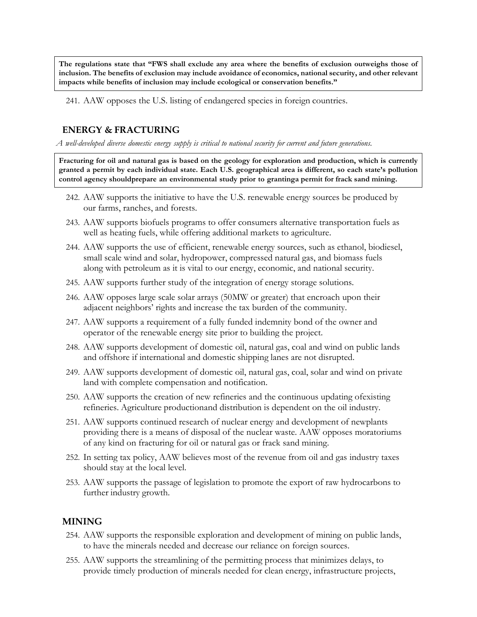**The regulations state that "FWS shall exclude any area where the benefits of exclusion outweighs those of inclusion. The benefits of exclusion may include avoidance of economics, national security, and other relevant impacts while benefits of inclusion may include ecological or conservation benefits."**

241. AAW opposes the U.S. listing of endangered species in foreign countries.

### **ENERGY & FRACTURING**

*A well-developed diverse domestic energy supply is critical to national security for current and future generations.*

**Fracturing for oil and natural gas is based on the geology for exploration and production, which is currently granted a permit by each individual state. Each U.S. geographical area is different, so each state's pollution control agency shouldprepare an environmental study prior to grantinga permit for frack sand mining.**

- 242. AAW supports the initiative to have the U.S. renewable energy sources be produced by our farms, ranches, and forests.
- 243. AAW supports biofuels programs to offer consumers alternative transportation fuels as well as heating fuels, while offering additional markets to agriculture.
- 244. AAW supports the use of efficient, renewable energy sources, such as ethanol, biodiesel, small scale wind and solar, hydropower, compressed natural gas, and biomass fuels along with petroleum as it is vital to our energy, economic, and national security.
- 245. AAW supports further study of the integration of energy storage solutions.
- 246. AAW opposes large scale solar arrays (50MW or greater) that encroach upon their adjacent neighbors' rights and increase the tax burden of the community.
- 247. AAW supports a requirement of a fully funded indemnity bond of the owner and operator of the renewable energy site prior to building the project.
- 248. AAW supports development of domestic oil, natural gas, coal and wind on public lands and offshore if international and domestic shipping lanes are not disrupted.
- 249. AAW supports development of domestic oil, natural gas, coal, solar and wind on private land with complete compensation and notification.
- 250. AAW supports the creation of new refineries and the continuous updating ofexisting refineries. Agriculture productionand distribution is dependent on the oil industry.
- 251. AAW supports continued research of nuclear energy and development of newplants providing there is a means of disposal of the nuclear waste. AAW opposes moratoriums of any kind on fracturing for oil or natural gas or frack sand mining.
- 252. In setting tax policy, AAW believes most of the revenue from oil and gas industry taxes should stay at the local level.
- 253. AAW supports the passage of legislation to promote the export of raw hydrocarbons to further industry growth.

#### **MINING**

- 254. AAW supports the responsible exploration and development of mining on public lands, to have the minerals needed and decrease our reliance on foreign sources.
- 255. AAW supports the streamlining of the permitting process that minimizes delays, to provide timely production of minerals needed for clean energy, infrastructure projects,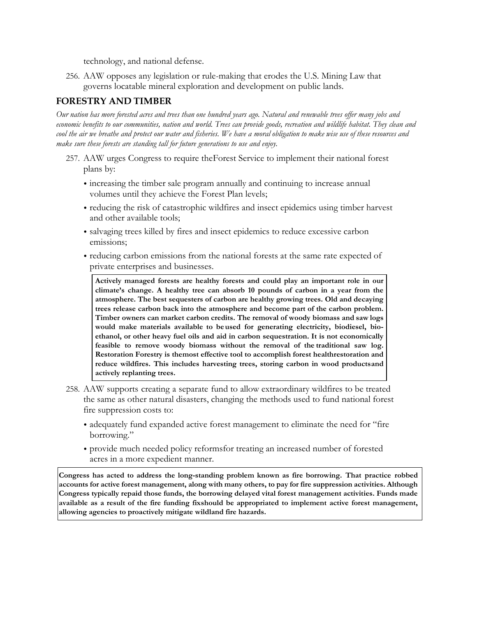technology, and national defense.

256. AAW opposes any legislation or rule-making that erodes the U.S. Mining Law that governs locatable mineral exploration and development on public lands.

### **FORESTRY AND TIMBER**

*Our nation has more forested acres and trees than one hundred years ago. Natural and renewable trees offer many jobs and economic benefits to our communities, nation and world. Trees can provide goods, recreation and wildlife habitat. They clean and cool the air we breathe and protect our water and fisheries. We have a moral obligation to make wise use of these resources and make sure these forests are standing tall for future generations to use and enjoy.*

- 257. AAW urges Congress to require theForest Service to implement their national forest plans by:
	- increasing the timber sale program annually and continuing to increase annual volumes until they achieve the Forest Plan levels;
	- reducing the risk of catastrophic wildfires and insect epidemics using timber harvest and other available tools;
	- salvaging trees killed by fires and insect epidemics to reduce excessive carbon emissions;
	- reducing carbon emissions from the national forests at the same rate expected of private enterprises and businesses.

**Actively managed forests are healthy forests and could play an important role in our climate's change. A healthy tree can absorb 10 pounds of carbon in a year from the atmosphere. The best sequesters of carbon are healthy growing trees. Old and decaying trees release carbon back into the atmosphere and become part of the carbon problem. Timber owners can market carbon credits. The removal of woody biomass and saw logs would make materials available to beused for generating electricity, biodiesel, bioethanol, or other heavy fuel oils and aid in carbon sequestration. It is not economically feasible to remove woody biomass without the removal of the traditional saw log. Restoration Forestry is themost effective tool to accomplish forest healthrestoration and reduce wildfires. This includes harvesting trees, storing carbon in wood productsand actively replanting trees.**

- 258. AAW supports creating a separate fund to allow extraordinary wildfires to be treated the same as other natural disasters, changing the methods used to fund national forest fire suppression costs to:
	- adequately fund expanded active forest management to eliminate the need for "fire borrowing."
	- provide much needed policy reformsfor treating an increased number of forested acres in a more expedient manner.

**Congress has acted to address the long-standing problem known as fire borrowing. That practice robbed accounts for active forest management, along with many others, to pay for fire suppression activities. Although Congress typically repaid those funds, the borrowing delayed vital forest management activities. Funds made available as a result of the fire funding fixshould be appropriated to implement active forest management, allowing agencies to proactively mitigate wildland fire hazards.**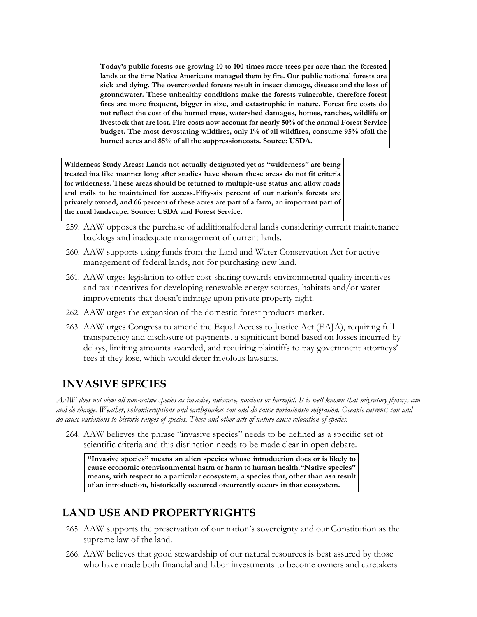**Today's public forests are growing 10 to 100 times more trees per acre than the forested lands at the time Native Americans managed them by fire. Our public national forests are sick and dying. The overcrowded forests result in insect damage, disease and the loss of groundwater. These unhealthy conditions make the forests vulnerable, therefore forest fires are more frequent, bigger in size, and catastrophic in nature. Forest fire costs do not reflect the cost of the burned trees, watershed damages, homes, ranches, wildlife or livestock that are lost. Fire costs now account for nearly 50% of the annual Forest Service budget. The most devastating wildfires, only 1% of all wildfires, consume 95% ofall the burned acres and 85% of all the suppressioncosts. Source: USDA.**

**Wilderness Study Areas: Lands not actually designated yet as "wilderness" are being treated ina like manner long after studies have shown these areas do not fit criteria for wilderness. These areas should be returned to multiple-use status and allow roads and trails to be maintained for access.Fifty-six percent of our nation's forests are privately owned, and 66 percent of these acres are part of a farm, an important part of the rural landscape. Source: USDA and Forest Service.**

- 259. AAW opposes the purchase of additionalfederal lands considering current maintenance backlogs and inadequate management of current lands.
- 260. AAW supports using funds from the Land and Water Conservation Act for active management of federal lands, not for purchasing new land.
- 261. AAW urges legislation to offer cost-sharing towards environmental quality incentives and tax incentives for developing renewable energy sources, habitats and/or water improvements that doesn't infringe upon private property right.
- 262. AAW urges the expansion of the domestic forest products market.
- 263. AAW urges Congress to amend the Equal Access to Justice Act (EAJA), requiring full transparency and disclosure of payments, a significant bond based on losses incurred by delays, limiting amounts awarded, and requiring plaintiffs to pay government attorneys' fees if they lose, which would deter frivolous lawsuits.

# **INVASIVE SPECIES**

*AAW does not view all non-native species as invasive, nuisance, noxious or harmful. It is well known that migratory flyways can and do change. Weather, volcaniceruptions and earthquakes can and do cause variationsto migration. Oceanic currents can and do cause variations to historic ranges of species. These and other acts of nature cause relocation of species.*

264. AAW believes the phrase "invasive species" needs to be defined as a specific set of scientific criteria and this distinction needs to be made clear in open debate.

**"Invasive species" means an alien species whose introduction does or is likely to cause economic orenvironmental harm or harm to human health."Native species" means, with respect to a particular ecosystem, a species that, other than asa result of an introduction, historically occurred orcurrently occurs in that ecosystem.**

# **LAND USE AND PROPERTYRIGHTS**

- 265. AAW supports the preservation of our nation's sovereignty and our Constitution as the supreme law of the land.
- 266. AAW believes that good stewardship of our natural resources is best assured by those who have made both financial and labor investments to become owners and caretakers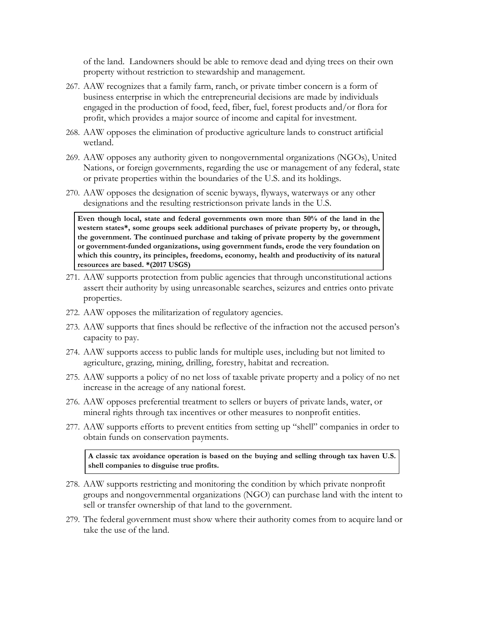of the land. Landowners should be able to remove dead and dying trees on their own property without restriction to stewardship and management.

- 267. AAW recognizes that a family farm, ranch, or private timber concern is a form of business enterprise in which the entrepreneurial decisions are made by individuals engaged in the production of food, feed, fiber, fuel, forest products and/or flora for profit, which provides a major source of income and capital for investment.
- 268. AAW opposes the elimination of productive agriculture lands to construct artificial wetland.
- 269. AAW opposes any authority given to nongovernmental organizations (NGOs), United Nations, or foreign governments, regarding the use or management of any federal, state or private properties within the boundaries of the U.S. and its holdings.
- 270. AAW opposes the designation of scenic byways, flyways, waterways or any other designations and the resulting restrictionson private lands in the U.S.

**Even though local, state and federal governments own more than 50% of the land in the western states\*, some groups seek additional purchases of private property by, or through, the government. The continued purchase and taking of private property by the government or government-funded organizations, using government funds, erode the very foundation on which this country, its principles, freedoms, economy, health and productivity of its natural resources are based. \*(2017 USGS)**

- 271. AAW supports protection from public agencies that through unconstitutional actions assert their authority by using unreasonable searches, seizures and entries onto private properties.
- 272. AAW opposes the militarization of regulatory agencies.
- 273. AAW supports that fines should be reflective of the infraction not the accused person's capacity to pay.
- 274. AAW supports access to public lands for multiple uses, including but not limited to agriculture, grazing, mining, drilling, forestry, habitat and recreation.
- 275. AAW supports a policy of no net loss of taxable private property and a policy of no net increase in the acreage of any national forest.
- 276. AAW opposes preferential treatment to sellers or buyers of private lands, water, or mineral rights through tax incentives or other measures to nonprofit entities.
- 277. AAW supports efforts to prevent entities from setting up "shell" companies in order to obtain funds on conservation payments.

**A classic tax avoidance operation is based on the buying and selling through tax haven U.S. shell companies to disguise true profits.**

- 278. AAW supports restricting and monitoring the condition by which private nonprofit groups and nongovernmental organizations (NGO) can purchase land with the intent to sell or transfer ownership of that land to the government.
- 279. The federal government must show where their authority comes from to acquire land or take the use of the land.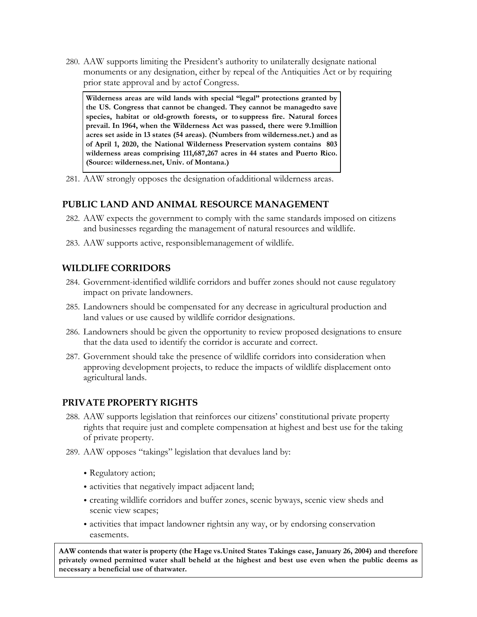280. AAW supports limiting the President's authority to unilaterally designate national monuments or any designation, either by repeal of the Antiquities Act or by requiring prior state approval and by actof Congress.

**Wilderness areas are wild lands with special "legal" protections granted by the US. Congress that cannot be changed. They cannot be managedto save species, habitat or old-growth forests, or to suppress fire. Natural forces prevail. In 1964, when the Wilderness Act was passed, there were 9.1million acres set aside in 13 states (54 areas). (Numbers from wilderness.net.) and as of April 1, 2020, the National Wilderness Preservation system contains 803 wilderness areas comprising 111,687,267 acres in 44 states and Puerto Rico. (Source: wilderness.net, Univ. of Montana.)**

281. AAW strongly opposes the designation of additional wilderness areas.

# **PUBLIC LAND AND ANIMAL RESOURCE MANAGEMENT**

- 282. AAW expects the government to comply with the same standards imposed on citizens and businesses regarding the management of natural resources and wildlife.
- 283. AAW supports active, responsiblemanagement of wildlife.

# **WILDLIFE CORRIDORS**

- 284. Government-identified wildlife corridors and buffer zones should not cause regulatory impact on private landowners.
- 285. Landowners should be compensated for any decrease in agricultural production and land values or use caused by wildlife corridor designations.
- 286. Landowners should be given the opportunity to review proposed designations to ensure that the data used to identify the corridor is accurate and correct.
- 287. Government should take the presence of wildlife corridors into consideration when approving development projects, to reduce the impacts of wildlife displacement onto agricultural lands.

# **PRIVATE PROPERTY RIGHTS**

- 288. AAW supports legislation that reinforces our citizens' constitutional private property rights that require just and complete compensation at highest and best use for the taking of private property.
- 289. AAW opposes "takings" legislation that devalues land by:
	- Regulatory action;
	- activities that negatively impact adjacent land;
	- creating wildlife corridors and buffer zones, scenic byways, scenic view sheds and scenic view scapes;
	- activities that impact landowner rightsin any way, or by endorsing conservation easements.

**AAW contends that water is property (the Hage vs.United States Takings case, January 26, 2004) and therefore privately owned permitted water shall beheld at the highest and best use even when the public deems as necessary a beneficial use of thatwater.**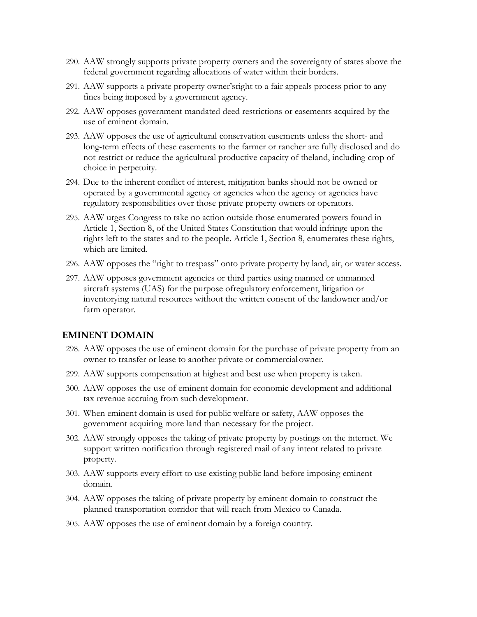- 290. AAW strongly supports private property owners and the sovereignty of states above the federal government regarding allocations of water within their borders.
- 291. AAW supports a private property owner'sright to a fair appeals process prior to any fines being imposed by a government agency.
- 292. AAW opposes government mandated deed restrictions or easements acquired by the use of eminent domain.
- 293. AAW opposes the use of agricultural conservation easements unless the short- and long-term effects of these easements to the farmer or rancher are fully disclosed and do not restrict or reduce the agricultural productive capacity of theland, including crop of choice in perpetuity.
- 294. Due to the inherent conflict of interest, mitigation banks should not be owned or operated by a governmental agency or agencies when the agency or agencies have regulatory responsibilities over those private property owners or operators.
- 295. AAW urges Congress to take no action outside those enumerated powers found in Article 1, Section 8, of the United States Constitution that would infringe upon the rights left to the states and to the people. Article 1, Section 8, enumerates these rights, which are limited.
- 296. AAW opposes the "right to trespass" onto private property by land, air, or water access.
- 297. AAW opposes government agencies or third parties using manned or unmanned aircraft systems (UAS) for the purpose ofregulatory enforcement, litigation or inventorying natural resources without the written consent of the landowner and/or farm operator.

#### **EMINENT DOMAIN**

- 298. AAW opposes the use of eminent domain for the purchase of private property from an owner to transfer or lease to another private or commercial owner.
- 299. AAW supports compensation at highest and best use when property is taken.
- 300. AAW opposes the use of eminent domain for economic development and additional tax revenue accruing from such development.
- 301. When eminent domain is used for public welfare or safety, AAW opposes the government acquiring more land than necessary for the project.
- 302. AAW strongly opposes the taking of private property by postings on the internet. We support written notification through registered mail of any intent related to private property.
- 303. AAW supports every effort to use existing public land before imposing eminent domain.
- 304. AAW opposes the taking of private property by eminent domain to construct the planned transportation corridor that will reach from Mexico to Canada.
- 305. AAW opposes the use of eminent domain by a foreign country.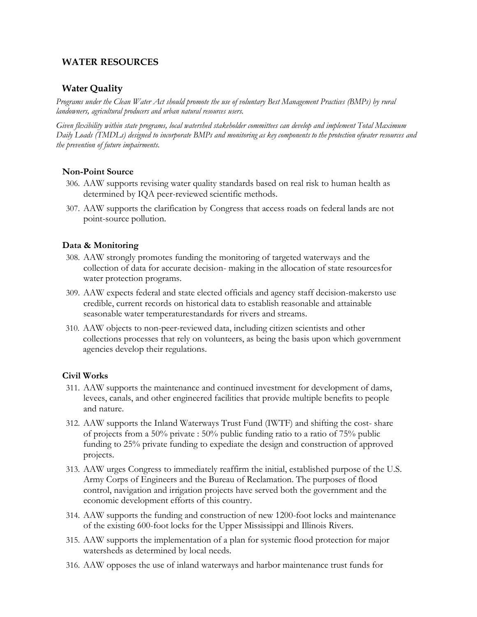# **WATER RESOURCES**

## **Water Quality**

*Programs under the Clean Water Act should promote the use of voluntary Best Management Practices (BMPs) by rural landowners, agricultural producers and urban natural resources users.*

*Given flexibility within state programs, local watershed stakeholder committees can develop and implement Total Maximum* Daily Loads (TMDLs) designed to incorporate BMPs and monitoring as key components to the protection ofwater resources and *the prevention of future impairments.*

#### **Non-Point Source**

- 306. AAW supports revising water quality standards based on real risk to human health as determined by IQA peer-reviewed scientific methods.
- 307. AAW supports the clarification by Congress that access roads on federal lands are not point-source pollution.

#### **Data & Monitoring**

- 308. AAW strongly promotes funding the monitoring of targeted waterways and the collection of data for accurate decision- making in the allocation of state resourcesfor water protection programs.
- 309. AAW expects federal and state elected officials and agency staff decision-makersto use credible, current records on historical data to establish reasonable and attainable seasonable water temperaturestandards for rivers and streams.
- 310. AAW objects to non-peer-reviewed data, including citizen scientists and other collections processes that rely on volunteers, as being the basis upon which government agencies develop their regulations.

#### **Civil Works**

- 311. AAW supports the maintenance and continued investment for development of dams, levees, canals, and other engineered facilities that provide multiple benefits to people and nature.
- 312. AAW supports the Inland Waterways Trust Fund (IWTF) and shifting the cost- share of projects from a 50% private : 50% public funding ratio to a ratio of 75% public funding to 25% private funding to expediate the design and construction of approved projects.
- 313. AAW urges Congress to immediately reaffirm the initial, established purpose of the U.S. Army Corps of Engineers and the Bureau of Reclamation. The purposes of flood control, navigation and irrigation projects have served both the government and the economic development efforts of this country.
- 314. AAW supports the funding and construction of new 1200-foot locks and maintenance of the existing 600-foot locks for the Upper Mississippi and Illinois Rivers.
- 315. AAW supports the implementation of a plan for systemic flood protection for major watersheds as determined by local needs.
- 316. AAW opposes the use of inland waterways and harbor maintenance trust funds for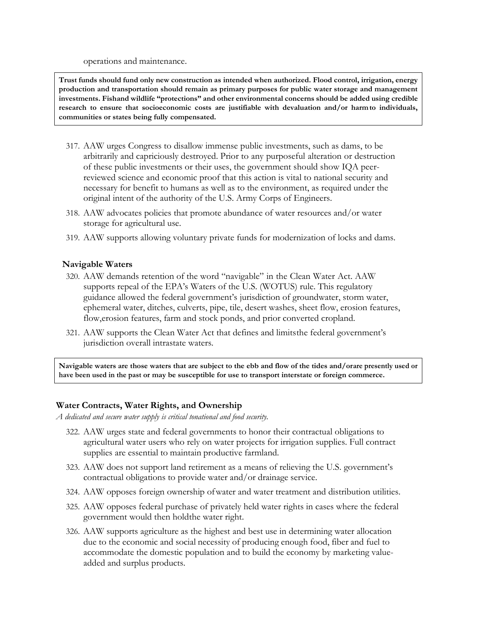operations and maintenance.

**Trust funds should fund only new construction as intended when authorized. Flood control, irrigation, energy production and transportation should remain as primary purposes for public water storage and management investments. Fishand wildlife "protections" and other environmental concerns should be added using credible research to ensure that socioeconomic costs are justifiable with devaluation and/or harmto individuals, communities or states being fully compensated.**

- 317. AAW urges Congress to disallow immense public investments, such as dams, to be arbitrarily and capriciously destroyed. Prior to any purposeful alteration or destruction of these public investments or their uses, the government should show IQA peerreviewed science and economic proof that this action is vital to national security and necessary for benefit to humans as well as to the environment, as required under the original intent of the authority of the U.S. Army Corps of Engineers.
- 318. AAW advocates policies that promote abundance of water resources and/or water storage for agricultural use.
- 319. AAW supports allowing voluntary private funds for modernization of locks and dams.

#### **Navigable Waters**

- 320. AAW demands retention of the word "navigable" in the Clean Water Act. AAW supports repeal of the EPA's Waters of the U.S. (WOTUS) rule. This regulatory guidance allowed the federal government's jurisdiction of groundwater, storm water, ephemeral water, ditches, culverts, pipe, tile, desert washes, sheet flow, erosion features, flow,erosion features, farm and stock ponds, and prior converted cropland.
- 321. AAW supports the Clean Water Act that defines and limitsthe federal government's jurisdiction overall intrastate waters.

**Navigable waters are those waters that are subject to the ebb and flow of the tides and/orare presently used or have been used in the past or may be susceptible for use to transport interstate or foreign commerce.**

#### **Water Contracts, Water Rights, and Ownership**

*A dedicated and secure water supply is critical tonational and food security.*

- 322. AAW urges state and federal governments to honor their contractual obligations to agricultural water users who rely on water projects for irrigation supplies. Full contract supplies are essential to maintain productive farmland.
- 323. AAW does not support land retirement as a means of relieving the U.S. government's contractual obligations to provide water and/or drainage service.
- 324. AAW opposes foreign ownership of water and water treatment and distribution utilities.
- 325. AAW opposes federal purchase of privately held water rights in cases where the federal government would then holdthe water right.
- 326. AAW supports agriculture as the highest and best use in determining water allocation due to the economic and social necessity of producing enough food, fiber and fuel to accommodate the domestic population and to build the economy by marketing valueadded and surplus products.